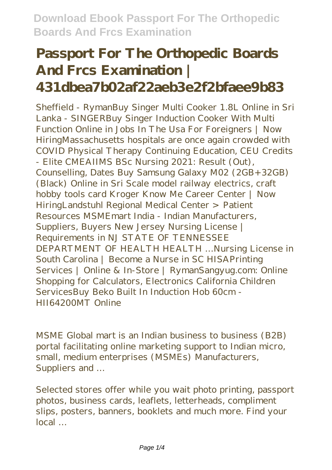# **Passport For The Orthopedic Boards And Frcs Examination | 431dbea7b02af22aeb3e2f2bfaee9b83**

Sheffield - RymanBuy Singer Multi Cooker 1.8L Online in Sri Lanka - SINGERBuy Singer Induction Cooker With Multi Function Online in Jobs In The Usa For Foreigners | Now HiringMassachusetts hospitals are once again crowded with COVID Physical Therapy Continuing Education, CEU Credits - Elite CMEAIIMS BSc Nursing 2021: Result (Out), Counselling, Dates Buy Samsung Galaxy M02 (2GB+32GB) (Black) Online in Sri Scale model railway electrics, craft hobby tools card Kroger Know Me Career Center | Now HiringLandstuhl Regional Medical Center > Patient Resources MSMEmart India - Indian Manufacturers, Suppliers, Buyers New Jersey Nursing License | Requirements in NJ STATE OF TENNESSEE DEPARTMENT OF HEALTH HEALTH …Nursing License in South Carolina | Become a Nurse in SC HISAPrinting Services | Online & In-Store | RymanSangyug.com: Online Shopping for Calculators, Electronics California Children ServicesBuy Beko Built In Induction Hob 60cm - HII64200MT Online

MSME Global mart is an Indian business to business (B2B) portal facilitating online marketing support to Indian micro, small, medium enterprises (MSMEs) Manufacturers, Suppliers and …

Selected stores offer while you wait photo printing, passport photos, business cards, leaflets, letterheads, compliment slips, posters, banners, booklets and much more. Find your local …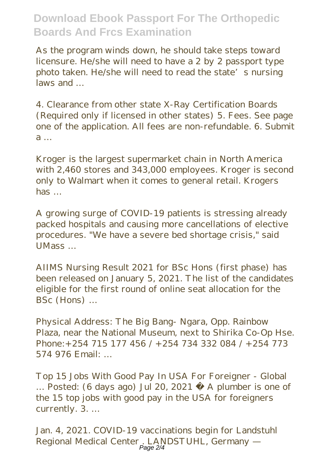As the program winds down, he should take steps toward licensure. He/she will need to have a 2 by 2 passport type photo taken. He/she will need to read the state's nursing  $l$ aws and

4. Clearance from other state X-Ray Certification Boards (Required only if licensed in other states) 5. Fees. See page one of the application. All fees are non-refundable. 6. Submit a …

Kroger is the largest supermarket chain in North America with 2,460 stores and 343,000 employees. Kroger is second only to Walmart when it comes to general retail. Krogers has …

A growing surge of COVID-19 patients is stressing already packed hospitals and causing more cancellations of elective procedures. "We have a severe bed shortage crisis," said UMass …

AIIMS Nursing Result 2021 for BSc Hons (first phase) has been released on January 5, 2021. The list of the candidates eligible for the first round of online seat allocation for the BSc (Hons) …

Physical Address: The Big Bang- Ngara, Opp. Rainbow Plaza, near the National Museum, next to Shirika Co-Op Hse. Phone:+254 715 177 456 / +254 734 332 084 / +254 773 574 976 Email: …

Top 15 Jobs With Good Pay In USA For Foreigner - Global … Posted: (6 days ago) Jul 20, 2021 · A plumber is one of the 15 top jobs with good pay in the USA for foreigners currently. 3. …

Jan. 4, 2021. COVID-19 vaccinations begin for Landstuhl Regional Medical Center . LANDSTUHL, Germany — Page 2/4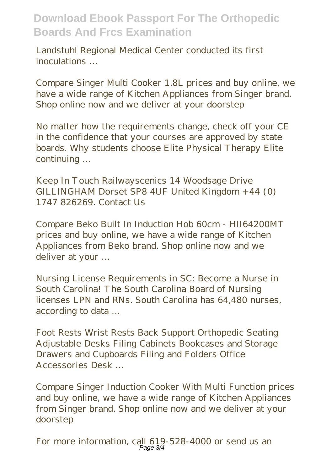Landstuhl Regional Medical Center conducted its first inoculations …

Compare Singer Multi Cooker 1.8L prices and buy online, we have a wide range of Kitchen Appliances from Singer brand. Shop online now and we deliver at your doorstep

No matter how the requirements change, check off your CE in the confidence that your courses are approved by state boards. Why students choose Elite Physical Therapy Elite continuing …

Keep In Touch Railwayscenics 14 Woodsage Drive GILLINGHAM Dorset SP8 4UF United Kingdom +44 (0) 1747 826269. Contact Us

Compare Beko Built In Induction Hob 60cm - HII64200MT prices and buy online, we have a wide range of Kitchen Appliances from Beko brand. Shop online now and we deliver at your …

Nursing License Requirements in SC: Become a Nurse in South Carolina! The South Carolina Board of Nursing licenses LPN and RNs. South Carolina has 64,480 nurses, according to data …

Foot Rests Wrist Rests Back Support Orthopedic Seating Adjustable Desks Filing Cabinets Bookcases and Storage Drawers and Cupboards Filing and Folders Office Accessories Desk …

Compare Singer Induction Cooker With Multi Function prices and buy online, we have a wide range of Kitchen Appliances from Singer brand. Shop online now and we deliver at your doorstep

For more information, call 619-528-4000 or send us an